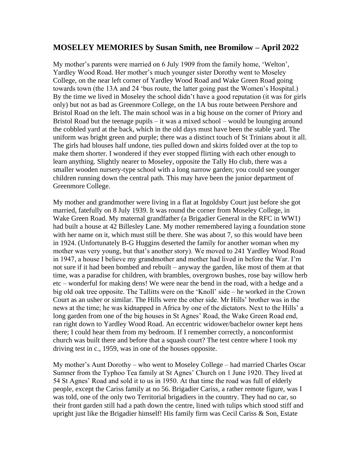## **MOSELEY MEMORIES by Susan Smith, nee Bromilow – April 2022**

My mother's parents were married on 6 July 1909 from the family home, 'Welton', Yardley Wood Road. Her mother's much younger sister Dorothy went to Moseley College, on the near left corner of Yardley Wood Road and Wake Green Road going towards town (the 13A and 24 'bus route, the latter going past the Women's Hospital.) By the time we lived in Moseley the school didn't have a good reputation (it was for girls only) but not as bad as Greenmore College, on the 1A bus route between Pershore and Bristol Road on the left. The main school was in a big house on the corner of Priory and Bristol Road but the teenage pupils – it was a mixed school – would be lounging around the cobbled yard at the back, which in the old days must have been the stable yard. The uniform was bright green and purple; there was a distinct touch of St Trinians about it all. The girls had blouses half undone, ties pulled down and skirts folded over at the top to make them shorter. I wondered if they ever stopped flirting with each other enough to learn anything. Slightly nearer to Moseley, opposite the Tally Ho club, there was a smaller wooden nursery-type school with a long narrow garden; you could see younger children running down the central path. This may have been the junior department of Greenmore College.

My mother and grandmother were living in a flat at Ingoldsby Court just before she got married, fatefully on 8 July 1939. It was round the corner from Moseley College, in Wake Green Road. My maternal grandfather (a Brigadier General in the RFC in WW1) had built a house at 42 Billesley Lane. My mother remembered laying a foundation stone with her name on it, which must still be there. She was about 7, so this would have been in 1924. (Unfortunately B-G Huggins deserted the family for another woman when my mother was very young, but that's another story). We moved to 241 Yardley Wood Road in 1947, a house I believe my grandmother and mother had lived in before the War. I'm not sure if it had been bombed and rebuilt – anyway the garden, like most of them at that time, was a paradise for children, with brambles, overgrown bushes, rose bay willow herb etc – wonderful for making dens! We were near the bend in the road, with a hedge and a big old oak tree opposite. The Tallitts were on the 'Knoll' side – he worked in the Crown Court as an usher or similar. The Hills were the other side. Mr Hills' brother was in the news at the time; he was kidnapped in Africa by one of the dictators. Next to the Hills' a long garden from one of the big houses in St Agnes' Road, the Wake Green Road end, ran right down to Yardley Wood Road. An eccentric widower/bachelor owner kept hens there; I could hear them from my bedroom. If I remember correctly, a nonconformist church was built there and before that a squash court? The test centre where I took my driving test in c., 1959, was in one of the houses opposite.

My mother's Aunt Dorothy – who went to Moseley College – had married Charles Oscar Sumner from the Typhoo Tea family at St Agnes' Church on 1 June 1920. They lived at 54 St Agnes' Road and sold it to us in 1950. At that time the road was full of elderly people, except the Cariss family at no 56. Brigadier Cariss, a rather remote figure, was I was told, one of the only two Territorial brigadiers in the country. They had no car, so their front garden still had a path down the centre, lined with tulips which stood stiff and upright just like the Brigadier himself! His family firm was Cecil Cariss & Son, Estate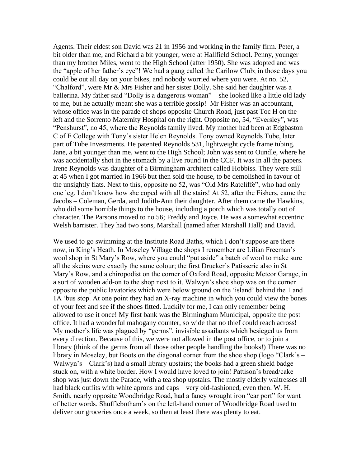Agents. Their eldest son David was 21 in 1956 and working in the family firm. Peter, a bit older than me, and Richard a bit younger, were at Hallfield School. Penny, younger than my brother Miles, went to the High School (after 1950). She was adopted and was the "apple of her father's eye"! We had a gang called the Carilow Club; in those days you could be out all day on your bikes, and nobody worried where you were. At no. 52, "Chalford", were Mr & Mrs Fisher and her sister Dolly. She said her daughter was a ballerina. My father said "Dolly is a dangerous woman" – she looked like a little old lady to me, but he actually meant she was a terrible gossip! Mr Fisher was an accountant, whose office was in the parade of shops opposite Church Road, just past Toc H on the left and the Sorrento Maternity Hospital on the right. Opposite no, 54, "Eversley", was "Penshurst", no 45, where the Reynolds family lived. My mother had been at Edgbaston C of E College with Tony's sister Helen Reynolds. Tony owned Reynolds Tube, later part of Tube Investments. He patented Reynolds 531, lightweight cycle frame tubing. Jane, a bit younger than me, went to the High School; John was sent to Oundle, where he was accidentally shot in the stomach by a live round in the CCF. It was in all the papers. Irene Reynolds was daughter of a Birmingham architect called Hobbiss. They were still at 45 when I got married in 1966 but then sold the house, to be demolished in favour of the unsightly flats. Next to this, opposite no 52, was "Old Mrs Ratcliffe", who had only one leg. I don't know how she coped with all the stairs! At 52, after the Fishers, came the Jacobs – Coleman, Gerda, and Judith-Ann their daughter. After them came the Hawkins, who did some horrible things to the house, including a porch which was totally out of character. The Parsons moved to no 56; Freddy and Joyce. He was a somewhat eccentric Welsh barrister. They had two sons, Marshall (named after Marshall Hall) and David.

We used to go swimming at the Institute Road Baths, which I don't suppose are there now, in King's Heath. In Moseley Village the shops I remember are Lilian Freeman's wool shop in St Mary's Row, where you could "put aside" a batch of wool to make sure all the skeins were exactly the same colour; the first Drucker's Patisserie also in St Mary's Row, and a chiropodist on the corner of Oxford Road, opposite Meteor Garage, in a sort of wooden add-on to the shop next to it. Walwyn's shoe shop was on the corner opposite the public lavatories which were below ground on the 'island' behind the 1 and 1A 'bus stop. At one point they had an X-ray machine in which you could view the bones of your feet and see if the shoes fitted. Luckily for me, I can only remember being allowed to use it once! My first bank was the Birmingham Municipal, opposite the post office. It had a wonderful mahogany counter, so wide that no thief could reach across! My mother's life was plagued by "germs", invisible assailants which besieged us from every direction. Because of this, we were not allowed in the post office, or to join a library (think of the germs from all those other people handling the books!) There was no library in Moseley, but Boots on the diagonal corner from the shoe shop (logo "Clark's – Walwyn's – Clark's) had a small library upstairs; the books had a green shield badge stuck on, with a white border. How I would have loved to join! Pattison's bread/cake shop was just down the Parade, with a tea shop upstairs. The mostly elderly waitresses all had black outfits with white aprons and caps – very old-fashioned, even then. W. H. Smith, nearly opposite Woodbridge Road, had a fancy wrought iron "car port" for want of better words. Shufflebotham's on the left-hand corner of Woodbridge Road used to deliver our groceries once a week, so then at least there was plenty to eat.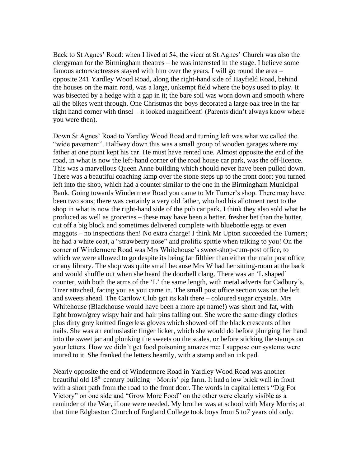Back to St Agnes' Road: when I lived at 54, the vicar at St Agnes' Church was also the clergyman for the Birmingham theatres – he was interested in the stage. I believe some famous actors/actresses stayed with him over the years. I will go round the area – opposite 241 Yardley Wood Road, along the right-hand side of Hayfield Road, behind the houses on the main road, was a large, unkempt field where the boys used to play. It was bisected by a hedge with a gap in it; the bare soil was worn down and smooth where all the bikes went through. One Christmas the boys decorated a large oak tree in the far right hand corner with tinsel – it looked magnificent! (Parents didn't always know where you were then).

Down St Agnes' Road to Yardley Wood Road and turning left was what we called the "wide pavement". Halfway down this was a small group of wooden garages where my father at one point kept his car. He must have rented one. Almost opposite the end of the road, in what is now the left-hand corner of the road house car park, was the off-licence. This was a marvellous Queen Anne building which should never have been pulled down. There was a beautiful coaching lamp over the stone steps up to the front door; you turned left into the shop, which had a counter similar to the one in the Birmingham Municipal Bank. Going towards Windermere Road you came to Mr Turner's shop. There may have been two sons; there was certainly a very old father, who had his allotment next to the shop in what is now the right-hand side of the pub car park. I think they also sold what he produced as well as groceries – these may have been a better, fresher bet than the butter, cut off a big block and sometimes delivered complete with bluebottle eggs or even maggots – no inspections then! No extra charge! I think Mr Upton succeeded the Turners; he had a white coat, a "strawberry nose" and prolific spittle when talking to you! On the corner of Windermere Road was Mrs Whitehouse's sweet-shop-cum-post office, to which we were allowed to go despite its being far filthier than either the main post office or any library. The shop was quite small because Mrs W had her sitting-room at the back and would shuffle out when she heard the doorbell clang. There was an 'L shaped' counter, with both the arms of the 'L' the same length, with metal adverts for Cadbury's, Tizer attached, facing you as you came in. The small post office section was on the left and sweets ahead. The Carilow Club got its kali there – coloured sugar crystals. Mrs Whitehouse (Blackhouse would have been a more apt name!) was short and fat, with light brown/grey wispy hair and hair pins falling out. She wore the same dingy clothes plus dirty grey knitted fingerless gloves which showed off the black crescents of her nails. She was an enthusiastic finger licker, which she would do before plunging her hand into the sweet jar and plonking the sweets on the scales, or before sticking the stamps on your letters. How we didn't get food poisoning amazes me; I suppose our systems were inured to it. She franked the letters heartily, with a stamp and an ink pad.

Nearly opposite the end of Windermere Road in Yardley Wood Road was another beautiful old  $18<sup>th</sup>$  century building – Morris' pig farm. It had a low brick wall in front with a short path from the road to the front door. The words in capital letters "Dig For Victory" on one side and "Grow More Food" on the other were clearly visible as a reminder of the War, if one were needed. My brother was at school with Mary Morris; at that time Edgbaston Church of England College took boys from 5 to7 years old only.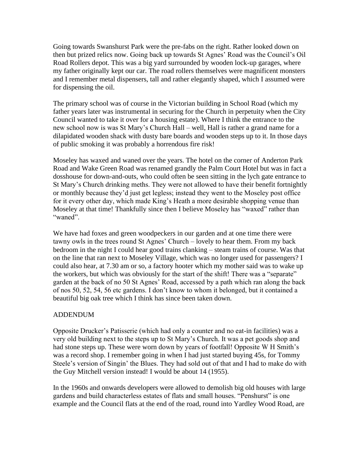Going towards Swanshurst Park were the pre-fabs on the right. Rather looked down on then but prized relics now. Going back up towards St Agnes' Road was the Council's Oil Road Rollers depot. This was a big yard surrounded by wooden lock-up garages, where my father originally kept our car. The road rollers themselves were magnificent monsters and I remember metal dispensers, tall and rather elegantly shaped, which I assumed were for dispensing the oil.

The primary school was of course in the Victorian building in School Road (which my father years later was instrumental in securing for the Church in perpetuity when the City Council wanted to take it over for a housing estate). Where I think the entrance to the new school now is was St Mary's Church Hall – well, Hall is rather a grand name for a dilapidated wooden shack with dusty bare boards and wooden steps up to it. In those days of public smoking it was probably a horrendous fire risk!

Moseley has waxed and waned over the years. The hotel on the corner of Anderton Park Road and Wake Green Road was renamed grandly the Palm Court Hotel but was in fact a dosshouse for down-and-outs, who could often be seen sitting in the lych gate entrance to St Mary's Church drinking meths. They were not allowed to have their benefit fortnightly or monthly because they'd just get legless; instead they went to the Moseley post office for it every other day, which made King's Heath a more desirable shopping venue than Moseley at that time! Thankfully since then I believe Moseley has "waxed" rather than "waned".

We have had foxes and green woodpeckers in our garden and at one time there were tawny owls in the trees round St Agnes' Church – lovely to hear them. From my back bedroom in the night I could hear good trains clanking – steam trains of course. Was that on the line that ran next to Moseley Village, which was no longer used for passengers? I could also hear, at 7.30 am or so, a factory hooter which my mother said was to wake up the workers, but which was obviously for the start of the shift! There was a "separate" garden at the back of no 50 St Agnes' Road, accessed by a path which ran along the back of nos 50, 52, 54, 56 etc gardens. I don't know to whom it belonged, but it contained a beautiful big oak tree which I think has since been taken down.

## ADDENDUM

Opposite Drucker's Patisserie (which had only a counter and no eat-in facilities) was a very old building next to the steps up to St Mary's Church. It was a pet goods shop and had stone steps up. These were worn down by years of footfall! Opposite W H Smith's was a record shop. I remember going in when I had just started buying 45s, for Tommy Steele's version of Singin' the Blues. They had sold out of that and I had to make do with the Guy Mitchell version instead! I would be about 14 (1955).

In the 1960s and onwards developers were allowed to demolish big old houses with large gardens and build characterless estates of flats and small houses. "Penshurst" is one example and the Council flats at the end of the road, round into Yardley Wood Road, are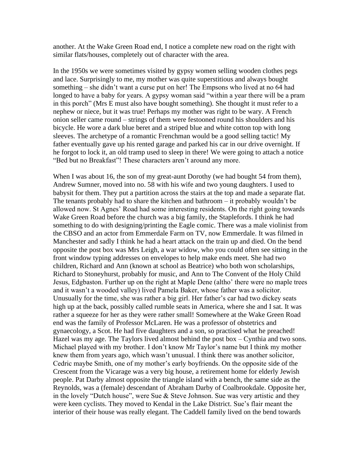another. At the Wake Green Road end, I notice a complete new road on the right with similar flats/houses, completely out of character with the area.

In the 1950s we were sometimes visited by gypsy women selling wooden clothes pegs and lace. Surprisingly to me, my mother was quite superstitious and always bought something – she didn't want a curse put on her! The Empsons who lived at no 64 had longed to have a baby for years. A gypsy woman said "within a year there will be a pram in this porch" (Mrs E must also have bought something). She thought it must refer to a nephew or niece, but it was true! Perhaps my mother was right to be wary. A French onion seller came round – strings of them were festooned round his shoulders and his bicycle. He wore a dark blue beret and a striped blue and white cotton top with long sleeves. The archetype of a romantic Frenchman would be a good selling tactic! My father eventually gave up his rented garage and parked his car in our drive overnight. If he forgot to lock it, an old tramp used to sleep in there! We were going to attach a notice "Bed but no Breakfast"! These characters aren't around any more.

When I was about 16, the son of my great-aunt Dorothy (we had bought 54 from them), Andrew Sumner, moved into no. 58 with his wife and two young daughters. I used to babysit for them. They put a partition across the stairs at the top and made a separate flat. The tenants probably had to share the kitchen and bathroom – it probably wouldn't be allowed now. St Agnes' Road had some interesting residents. On the right going towards Wake Green Road before the church was a big family, the Staplefords. I think he had something to do with designing/printing the Eagle comic. There was a male violinist from the CBSO and an actor from Emmerdale Farm on TV, now Emmerdale. It was filmed in Manchester and sadly I think he had a heart attack on the train up and died. On the bend opposite the post box was Mrs Leigh, a war widow, who you could often see sitting in the front window typing addresses on envelopes to help make ends meet. She had two children, Richard and Ann (known at school as Beatrice) who both won scholarships, Richard to Stoneyhurst, probably for music, and Ann to The Convent of the Holy Child Jesus, Edgbaston. Further up on the right at Maple Dene (altho' there were no maple trees and it wasn't a wooded valley) lived Pamela Baker, whose father was a solicitor. Unusually for the time, she was rather a big girl. Her father's car had two dickey seats high up at the back, possibly called rumble seats in America, where she and I sat. It was rather a squeeze for her as they were rather small! Somewhere at the Wake Green Road end was the family of Professor McLaren. He was a professor of obstetrics and gynaecology, a Scot. He had five daughters and a son, so practised what he preached! Hazel was my age. The Taylors lived almost behind the post box – Cynthia and two sons. Michael played with my brother. I don't know Mr Taylor's name but I think my mother knew them from years ago, which wasn't unusual. I think there was another solicitor, Cedric maybe Smith, one of my mother's early boyfriends. On the opposite side of the Crescent from the Vicarage was a very big house, a retirement home for elderly Jewish people. Pat Darby almost opposite the triangle island with a bench, the same side as the Reynolds, was a (female) descendant of Abraham Darby of Coalbrookdale. Opposite her, in the lovely "Dutch house", were Sue & Steve Johnson. Sue was very artistic and they were keen cyclists. They moved to Kendal in the Lake District. Sue's flair meant the interior of their house was really elegant. The Caddell family lived on the bend towards